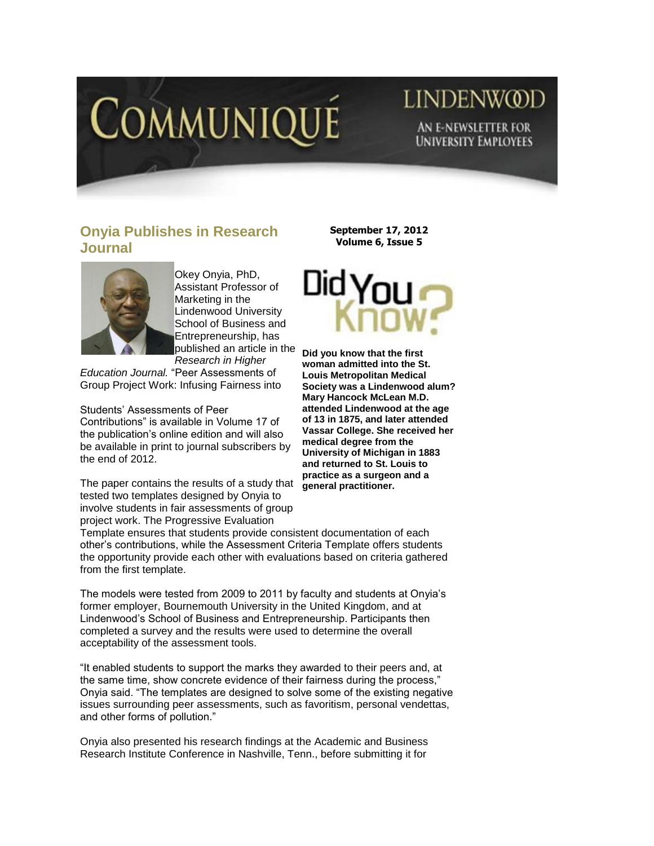

## **LINDENWOD** AN E-NEWSLETTER FOR **UNIVERSITY EMPLOYEES**

## **Onyia Publishes in Research Journal**



Okey Onyia, PhD, Assistant Professor of Marketing in the Lindenwood University School of Business and Entrepreneurship, has published an article in the *Research in Higher* 

*Education Journal.* "Peer Assessments of Group Project Work: Infusing Fairness into

Students' Assessments of Peer Contributions" is available in Volume 17 of the publication's online edition and will also be available in print to journal subscribers by the end of 2012.

The paper contains the results of a study that tested two templates designed by Onyia to involve students in fair assessments of group project work. The Progressive Evaluation

**September 17, 2012 Volume 6, Issue 5**



**Did you know that the first woman admitted into the St. Louis Metropolitan Medical Society was a Lindenwood alum? Mary Hancock McLean M.D. attended Lindenwood at the age of 13 in 1875, and later attended Vassar College. She received her medical degree from the University of Michigan in 1883 and returned to St. Louis to practice as a surgeon and a general practitioner.**

Template ensures that students provide consistent documentation of each other's contributions, while the Assessment Criteria Template offers students the opportunity provide each other with evaluations based on criteria gathered from the first template.

The models were tested from 2009 to 2011 by faculty and students at Onyia's former employer, Bournemouth University in the United Kingdom, and at Lindenwood's School of Business and Entrepreneurship. Participants then completed a survey and the results were used to determine the overall acceptability of the assessment tools.

"It enabled students to support the marks they awarded to their peers and, at the same time, show concrete evidence of their fairness during the process," Onyia said. "The templates are designed to solve some of the existing negative issues surrounding peer assessments, such as favoritism, personal vendettas, and other forms of pollution."

Onyia also presented his research findings at the Academic and Business Research Institute Conference in Nashville, Tenn., before submitting it for